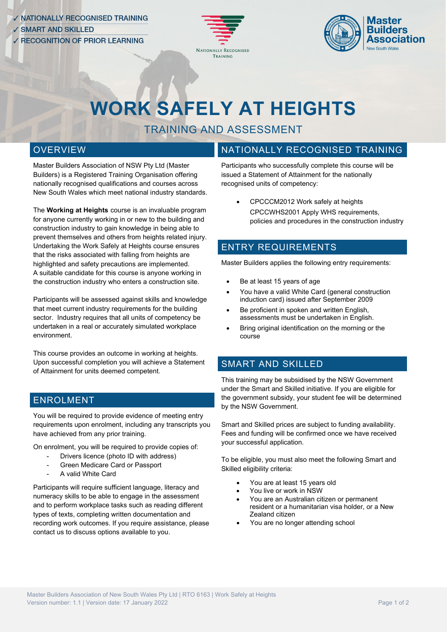



# **WORK SAFELY AT HEIGHTS**

# TRAINING AND ASSESSMENT

#### **OVERVIEW**

Master Builders Association of NSW Pty Ltd (Master Builders) is a Registered Training Organisation offering nationally recognised qualifications and courses across New South Wales which meet national industry standards.

The **Working at Heights** course is an invaluable program for anyone currently working in or new to the building and construction industry to gain knowledge in being able to prevent themselves and others from heights related injury. Undertaking the Work Safely at Heights course ensures that the risks associated with falling from heights are highlighted and safety precautions are implemented. A suitable candidate for this course is anyone working in the construction industry who enters a construction site.

Participants will be assessed against skills and knowledge that meet current industry requirements for the building sector. Industry requires that all units of competency be undertaken in a real or accurately simulated workplace environment.

This course provides an outcome in working at heights. Upon successful completion you will achieve a Statement of Attainment for units deemed competent.

#### ENROLMENT

You will be required to provide evidence of meeting entry requirements upon enrolment, including any transcripts you have achieved from any prior training.

On enrolment, you will be required to provide copies of:

- Drivers licence (photo ID with address)
- Green Medicare Card or Passport
- A valid White Card

Participants will require sufficient language, literacy and numeracy skills to be able to engage in the assessment and to perform workplace tasks such as reading different types of texts, completing written documentation and recording work outcomes. If you require assistance, please contact us to discuss options available to you.

## NATIONALLY RECOGNISED TRAINING

Participants who successfully complete this course will be issued a Statement of Attainment for the nationally recognised units of competency:

• CPCCCM2012 Work safely at heights • CPCCWHS2001 Apply WHS requirements, policies and procedures in the construction industry

## ENTRY REQUIREMENTS

Master Builders applies the following entry requirements:

- Be at least 15 years of age
- You have a valid White Card (general construction induction card) issued after September 2009
- Be proficient in spoken and written English. assessments must be undertaken in English.
- Bring original identification on the morning or the course

# SMART AND SKILLED

This training may be subsidised by the NSW Government under the Smart and Skilled initiative. If you are eligible for the government subsidy, your student fee will be determined by the NSW Government.

Smart and Skilled prices are subject to funding availability. Fees and funding will be confirmed once we have received your successful application.

To be eligible, you must also meet the following Smart and Skilled eligibility criteria:

- You are at least 15 years old
- You live or work in NSW
- You are an Australian citizen or permanent resident or a humanitarian visa holder, or a New Zealand citizen
- You are no longer attending school